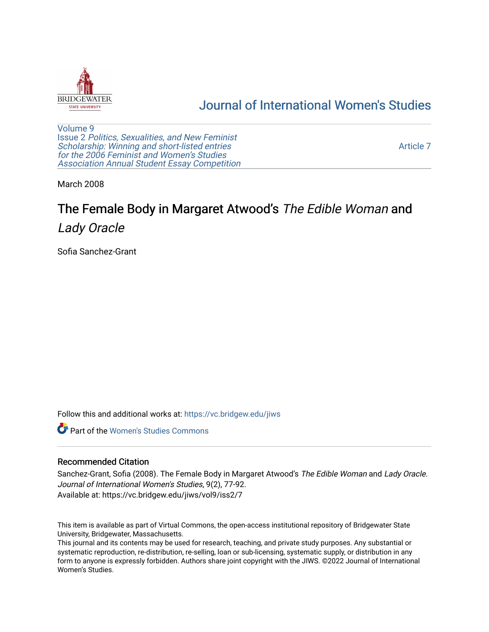

## [Journal of International Women's Studies](https://vc.bridgew.edu/jiws)

[Volume 9](https://vc.bridgew.edu/jiws/vol9) Issue 2 [Politics, Sexualities, and New Feminist](https://vc.bridgew.edu/jiws/vol9/iss2) [Scholarship: Winning and short-listed entries](https://vc.bridgew.edu/jiws/vol9/iss2) for the 2006 Feminist and Women's Studies [Association Annual Student Essay Competition](https://vc.bridgew.edu/jiws/vol9/iss2)

[Article 7](https://vc.bridgew.edu/jiws/vol9/iss2/7) 

March 2008

# The Female Body in Margaret Atwood's The Edible Woman and Lady Oracle

Sofia Sanchez-Grant

Follow this and additional works at: [https://vc.bridgew.edu/jiws](https://vc.bridgew.edu/jiws?utm_source=vc.bridgew.edu%2Fjiws%2Fvol9%2Fiss2%2F7&utm_medium=PDF&utm_campaign=PDFCoverPages)

**C** Part of the Women's Studies Commons

## Recommended Citation

Sanchez-Grant, Sofia (2008). The Female Body in Margaret Atwood's The Edible Woman and Lady Oracle. Journal of International Women's Studies, 9(2), 77-92. Available at: https://vc.bridgew.edu/jiws/vol9/iss2/7

This item is available as part of Virtual Commons, the open-access institutional repository of Bridgewater State University, Bridgewater, Massachusetts.

This journal and its contents may be used for research, teaching, and private study purposes. Any substantial or systematic reproduction, re-distribution, re-selling, loan or sub-licensing, systematic supply, or distribution in any form to anyone is expressly forbidden. Authors share joint copyright with the JIWS. ©2022 Journal of International Women's Studies.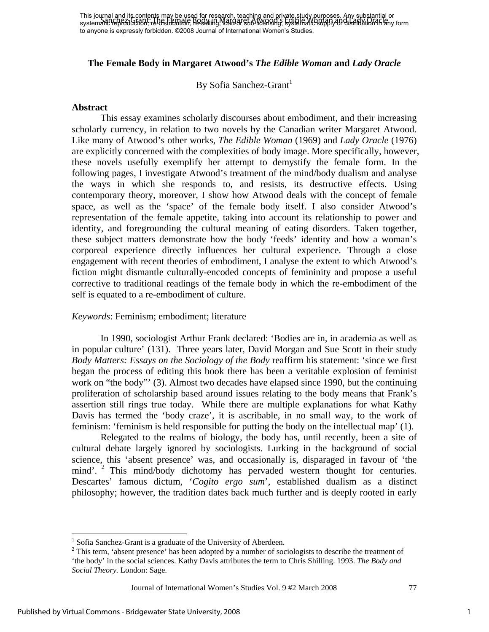## **The Female Body in Margaret Atwood's** *The Edible Woman* **and** *Lady Oracle*

By Sofia Sanchez-Grant<sup>1</sup>

#### **Abstract**

This essay examines scholarly discourses about embodiment, and their increasing scholarly currency, in relation to two novels by the Canadian writer Margaret Atwood. Like many of Atwood's other works, *The Edible Woman* (1969) and *Lady Oracle* (1976) are explicitly concerned with the complexities of body image. More specifically, however, these novels usefully exemplify her attempt to demystify the female form. In the following pages, I investigate Atwood's treatment of the mind/body dualism and analyse the ways in which she responds to, and resists, its destructive effects. Using contemporary theory, moreover, I show how Atwood deals with the concept of female space, as well as the 'space' of the female body itself. I also consider Atwood's representation of the female appetite, taking into account its relationship to power and identity, and foregrounding the cultural meaning of eating disorders. Taken together, these subject matters demonstrate how the body 'feeds' identity and how a woman's corporeal experience directly influences her cultural experience. Through a close engagement with recent theories of embodiment, I analyse the extent to which Atwood's fiction might dismantle culturally-encoded concepts of femininity and propose a useful corrective to traditional readings of the female body in which the re-embodiment of the self is equated to a re-embodiment of culture.

#### *Keywords*: Feminism; embodiment; literature

In 1990, sociologist Arthur Frank declared: 'Bodies are in, in academia as well as in popular culture' (131). Three years later, David Morgan and Sue Scott in their study *Body Matters: Essays on the Sociology of the Body* reaffirm his statement: 'since we first began the process of editing this book there has been a veritable explosion of feminist work on "the body"' (3). Almost two decades have elapsed since 1990, but the continuing proliferation of scholarship based around issues relating to the body means that Frank's assertion still rings true today. While there are multiple explanations for what Kathy Davis has termed the 'body craze', it is ascribable, in no small way, to the work of feminism: 'feminism is held responsible for putting the body on the intellectual map' (1).

Relegated to the realms of biology, the body has, until recently, been a site of cultural debate largely ignored by sociologists. Lurking in the background of social science, this 'absent presence' was, and occasionally is, disparaged in favour of 'the mind'.  $2$  This mind/body dichotomy has pervaded western thought for centuries. Descartes' famous dictum, '*Cogito ergo sum*', established dualism as a distinct philosophy; however, the tradition dates back much further and is deeply rooted in early

<u>.</u>

<sup>&</sup>lt;sup>1</sup> Sofia Sanchez-Grant is a graduate of the University of Aberdeen.

<sup>&</sup>lt;sup>2</sup> This term, 'absent presence' has been adopted by a number of sociologists to describe the treatment of 'the body' in the social sciences. Kathy Davis attributes the term to Chris Shilling. 1993. *The Body and Social Theory.* London: Sage.

Journal of International Women's Studies Vol. 9 #2 March 2008 77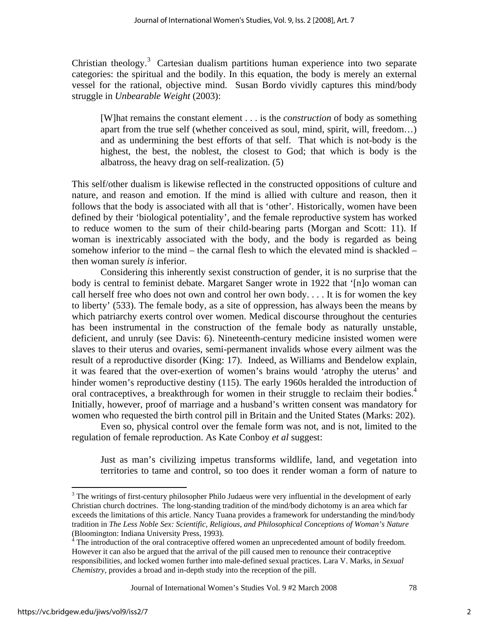Christian theology.<sup>3</sup> Cartesian dualism partitions human experience into two separate categories: the spiritual and the bodily. In this equation, the body is merely an external vessel for the rational, objective mind. Susan Bordo vividly captures this mind/body struggle in *Unbearable Weight* (2003):

[W]hat remains the constant element . . . is the *construction* of body as something apart from the true self (whether conceived as soul, mind, spirit, will, freedom…) and as undermining the best efforts of that self. That which is not-body is the highest, the best, the noblest, the closest to God; that which is body is the albatross, the heavy drag on self-realization. (5)

This self/other dualism is likewise reflected in the constructed oppositions of culture and nature, and reason and emotion. If the mind is allied with culture and reason, then it follows that the body is associated with all that is 'other'. Historically, women have been defined by their 'biological potentiality', and the female reproductive system has worked to reduce women to the sum of their child-bearing parts (Morgan and Scott: 11). If woman is inextricably associated with the body, and the body is regarded as being somehow inferior to the mind – the carnal flesh to which the elevated mind is shackled – then woman surely *is* inferior.

Considering this inherently sexist construction of gender, it is no surprise that the body is central to feminist debate. Margaret Sanger wrote in 1922 that '[n]o woman can call herself free who does not own and control her own body. . . . It is for women the key to liberty' (533). The female body, as a site of oppression, has always been the means by which patriarchy exerts control over women. Medical discourse throughout the centuries has been instrumental in the construction of the female body as naturally unstable, deficient, and unruly (see Davis: 6). Nineteenth-century medicine insisted women were slaves to their uterus and ovaries, semi-permanent invalids whose every ailment was the result of a reproductive disorder (King: 17). Indeed, as Williams and Bendelow explain, it was feared that the over-exertion of women's brains would 'atrophy the uterus' and hinder women's reproductive destiny (115). The early 1960s heralded the introduction of oral contraceptives, a breakthrough for women in their struggle to reclaim their bodies.<sup>4</sup> Initially, however, proof of marriage and a husband's written consent was mandatory for women who requested the birth control pill in Britain and the United States (Marks: 202).

Even so, physical control over the female form was not, and is not, limited to the regulation of female reproduction. As Kate Conboy *et al* suggest:

Just as man's civilizing impetus transforms wildlife, land, and vegetation into territories to tame and control, so too does it render woman a form of nature to

Journal of International Women's Studies Vol. 9 #2 March 2008 78

1

 $3$  The writings of first-century philosopher Philo Judaeus were very influential in the development of early Christian church doctrines. The long-standing tradition of the mind/body dichotomy is an area which far exceeds the limitations of this article. Nancy Tuana provides a framework for understanding the mind/body tradition in *The Less Noble Sex: Scientific, Religious, and Philosophical Conceptions of Woman's Nature* (Bloomington: Indiana University Press, 1993).

 $4\overline{4}$  The introduction of the oral contraceptive offered women an unprecedented amount of bodily freedom. However it can also be argued that the arrival of the pill caused men to renounce their contraceptive responsibilities, and locked women further into male-defined sexual practices. Lara V. Marks, in *Sexual Chemistry,* provides a broad and in-depth study into the reception of the pill.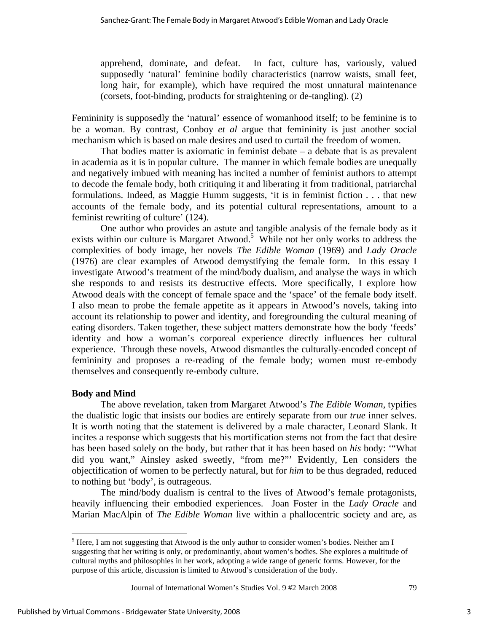apprehend, dominate, and defeat. In fact, culture has, variously, valued supposedly 'natural' feminine bodily characteristics (narrow waists, small feet, long hair, for example), which have required the most unnatural maintenance (corsets, foot-binding, products for straightening or de-tangling). (2)

Femininity is supposedly the 'natural' essence of womanhood itself; to be feminine is to be a woman. By contrast, Conboy *et al* argue that femininity is just another social mechanism which is based on male desires and used to curtail the freedom of women.

That bodies matter is axiomatic in feminist debate – a debate that is as prevalent in academia as it is in popular culture. The manner in which female bodies are unequally and negatively imbued with meaning has incited a number of feminist authors to attempt to decode the female body, both critiquing it and liberating it from traditional, patriarchal formulations. Indeed, as Maggie Humm suggests, 'it is in feminist fiction . . . that new accounts of the female body, and its potential cultural representations, amount to a feminist rewriting of culture' (124).

One author who provides an astute and tangible analysis of the female body as it exists within our culture is Margaret Atwood.<sup>5</sup> While not her only works to address the complexities of body image, her novels *The Edible Woman* (1969) and *Lady Oracle* (1976) are clear examples of Atwood demystifying the female form. In this essay I investigate Atwood's treatment of the mind/body dualism, and analyse the ways in which she responds to and resists its destructive effects. More specifically, I explore how Atwood deals with the concept of female space and the 'space' of the female body itself. I also mean to probe the female appetite as it appears in Atwood's novels, taking into account its relationship to power and identity, and foregrounding the cultural meaning of eating disorders. Taken together, these subject matters demonstrate how the body 'feeds' identity and how a woman's corporeal experience directly influences her cultural experience. Through these novels, Atwood dismantles the culturally-encoded concept of femininity and proposes a re-reading of the female body; women must re-embody themselves and consequently re-embody culture.

## **Body and Mind**

<u>.</u>

The above revelation, taken from Margaret Atwood's *The Edible Woman*, typifies the dualistic logic that insists our bodies are entirely separate from our *true* inner selves. It is worth noting that the statement is delivered by a male character, Leonard Slank. It incites a response which suggests that his mortification stems not from the fact that desire has been based solely on the body, but rather that it has been based on *his* body: '"What did you want," Ainsley asked sweetly, "from me?"' Evidently, Len considers the objectification of women to be perfectly natural, but for *him* to be thus degraded, reduced to nothing but 'body', is outrageous.

The mind/body dualism is central to the lives of Atwood's female protagonists, heavily influencing their embodied experiences. Joan Foster in the *Lady Oracle* and Marian MacAlpin of *The Edible Woman* live within a phallocentric society and are, as

 $<sup>5</sup>$  Here, I am not suggesting that Atwood is the only author to consider women's bodies. Neither am I</sup> suggesting that her writing is only, or predominantly, about women's bodies. She explores a multitude of cultural myths and philosophies in her work, adopting a wide range of generic forms. However, for the purpose of this article, discussion is limited to Atwood's consideration of the body.

Journal of International Women's Studies Vol. 9 #2 March 2008 79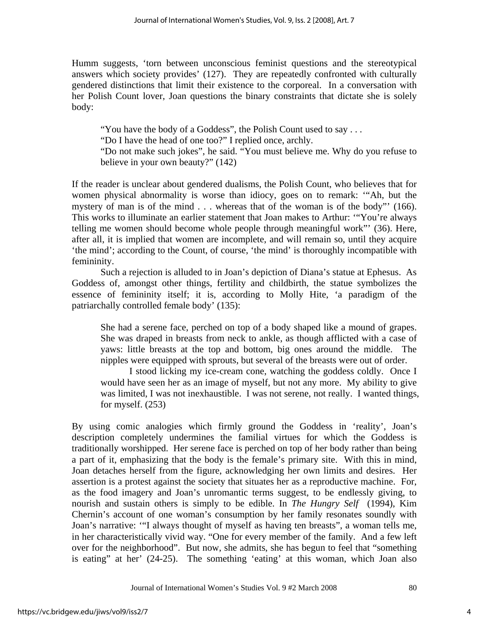Humm suggests, 'torn between unconscious feminist questions and the stereotypical answers which society provides' (127). They are repeatedly confronted with culturally gendered distinctions that limit their existence to the corporeal. In a conversation with her Polish Count lover, Joan questions the binary constraints that dictate she is solely body:

"You have the body of a Goddess", the Polish Count used to say . . . "Do I have the head of one too?" I replied once, archly. "Do not make such jokes", he said. "You must believe me. Why do you refuse to believe in your own beauty?" (142)

If the reader is unclear about gendered dualisms, the Polish Count, who believes that for women physical abnormality is worse than idiocy, goes on to remark: '"Ah, but the mystery of man is of the mind . . . whereas that of the woman is of the body"' (166). This works to illuminate an earlier statement that Joan makes to Arthur: '"You're always telling me women should become whole people through meaningful work"' (36). Here, after all, it is implied that women are incomplete, and will remain so, until they acquire 'the mind'; according to the Count, of course, 'the mind' is thoroughly incompatible with femininity.

Such a rejection is alluded to in Joan's depiction of Diana's statue at Ephesus. As Goddess of, amongst other things, fertility and childbirth, the statue symbolizes the essence of femininity itself; it is, according to Molly Hite, 'a paradigm of the patriarchally controlled female body' (135):

She had a serene face, perched on top of a body shaped like a mound of grapes. She was draped in breasts from neck to ankle, as though afflicted with a case of yaws: little breasts at the top and bottom, big ones around the middle. The nipples were equipped with sprouts, but several of the breasts were out of order.

I stood licking my ice-cream cone, watching the goddess coldly. Once I would have seen her as an image of myself, but not any more. My ability to give was limited, I was not inexhaustible. I was not serene, not really. I wanted things, for myself. (253)

By using comic analogies which firmly ground the Goddess in 'reality', Joan's description completely undermines the familial virtues for which the Goddess is traditionally worshipped. Her serene face is perched on top of her body rather than being a part of it, emphasizing that the body is the female's primary site. With this in mind, Joan detaches herself from the figure, acknowledging her own limits and desires. Her assertion is a protest against the society that situates her as a reproductive machine. For, as the food imagery and Joan's unromantic terms suggest, to be endlessly giving, to nourish and sustain others is simply to be edible. In *The Hungry Self* (1994), Kim Chernin's account of one woman's consumption by her family resonates soundly with Joan's narrative: '"I always thought of myself as having ten breasts", a woman tells me, in her characteristically vivid way. "One for every member of the family. And a few left over for the neighborhood". But now, she admits, she has begun to feel that "something is eating" at her' (24-25). The something 'eating' at this woman, which Joan also

4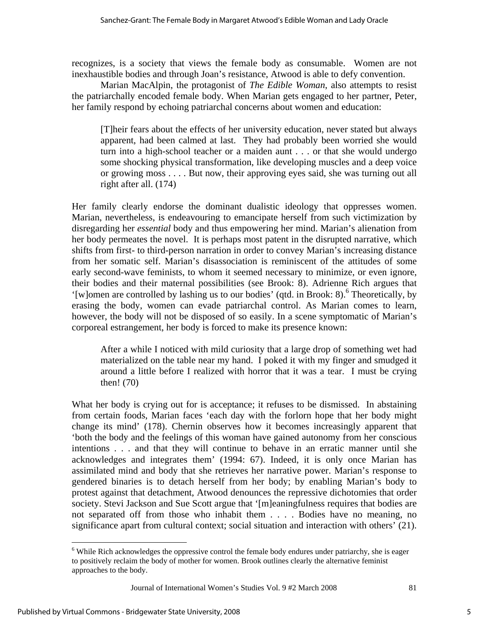recognizes, is a society that views the female body as consumable. Women are not inexhaustible bodies and through Joan's resistance, Atwood is able to defy convention.

Marian MacAlpin, the protagonist of *The Edible Woman*, also attempts to resist the patriarchally encoded female body. When Marian gets engaged to her partner, Peter, her family respond by echoing patriarchal concerns about women and education:

[T]heir fears about the effects of her university education, never stated but always apparent, had been calmed at last. They had probably been worried she would turn into a high-school teacher or a maiden aunt . . . or that she would undergo some shocking physical transformation, like developing muscles and a deep voice or growing moss . . . . But now, their approving eyes said, she was turning out all right after all. (174)

Her family clearly endorse the dominant dualistic ideology that oppresses women. Marian, nevertheless, is endeavouring to emancipate herself from such victimization by disregarding her *essential* body and thus empowering her mind. Marian's alienation from her body permeates the novel. It is perhaps most patent in the disrupted narrative, which shifts from first- to third-person narration in order to convey Marian's increasing distance from her somatic self. Marian's disassociation is reminiscent of the attitudes of some early second-wave feminists, to whom it seemed necessary to minimize, or even ignore, their bodies and their maternal possibilities (see Brook: 8). Adrienne Rich argues that '[w]omen are controlled by lashing us to our bodies' (qtd. in Brook: 8).<sup>6</sup> Theoretically, by erasing the body, women can evade patriarchal control. As Marian comes to learn, however, the body will not be disposed of so easily. In a scene symptomatic of Marian's corporeal estrangement, her body is forced to make its presence known:

After a while I noticed with mild curiosity that a large drop of something wet had materialized on the table near my hand. I poked it with my finger and smudged it around a little before I realized with horror that it was a tear. I must be crying then! (70)

What her body is crying out for is acceptance; it refuses to be dismissed. In abstaining from certain foods, Marian faces 'each day with the forlorn hope that her body might change its mind' (178). Chernin observes how it becomes increasingly apparent that 'both the body and the feelings of this woman have gained autonomy from her conscious intentions . . . and that they will continue to behave in an erratic manner until she acknowledges and integrates them' (1994: 67). Indeed, it is only once Marian has assimilated mind and body that she retrieves her narrative power. Marian's response to gendered binaries is to detach herself from her body; by enabling Marian's body to protest against that detachment, Atwood denounces the repressive dichotomies that order society. Stevi Jackson and Sue Scott argue that '[m]eaningfulness requires that bodies are not separated off from those who inhabit them . . . . Bodies have no meaning, no significance apart from cultural context; social situation and interaction with others' (21).

Journal of International Women's Studies Vol. 9 #2 March 2008 81

 $\overline{a}$ 

<sup>&</sup>lt;sup>6</sup> While Rich acknowledges the oppressive control the female body endures under patriarchy, she is eager to positively reclaim the body of mother for women. Brook outlines clearly the alternative feminist approaches to the body.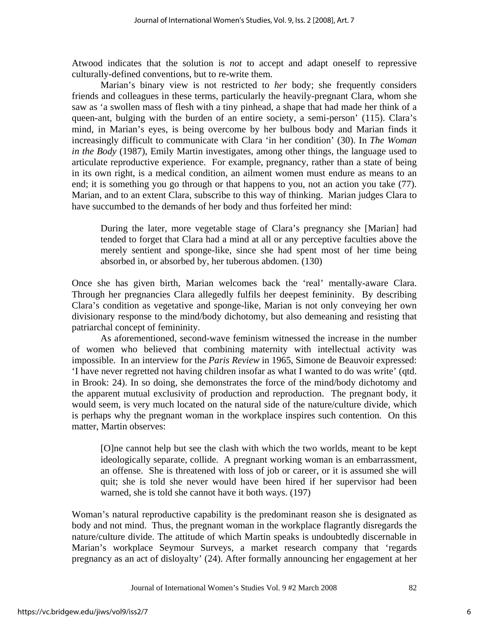Atwood indicates that the solution is *not* to accept and adapt oneself to repressive culturally-defined conventions, but to re-write them.

Marian's binary view is not restricted to *her* body; she frequently considers friends and colleagues in these terms, particularly the heavily-pregnant Clara, whom she saw as 'a swollen mass of flesh with a tiny pinhead, a shape that had made her think of a queen-ant, bulging with the burden of an entire society, a semi-person' (115). Clara's mind, in Marian's eyes, is being overcome by her bulbous body and Marian finds it increasingly difficult to communicate with Clara 'in her condition' (30). In *The Woman in the Body* (1987), Emily Martin investigates, among other things, the language used to articulate reproductive experience. For example, pregnancy, rather than a state of being in its own right, is a medical condition, an ailment women must endure as means to an end; it is something you go through or that happens to you, not an action you take (77). Marian, and to an extent Clara, subscribe to this way of thinking. Marian judges Clara to have succumbed to the demands of her body and thus forfeited her mind:

During the later, more vegetable stage of Clara's pregnancy she [Marian] had tended to forget that Clara had a mind at all or any perceptive faculties above the merely sentient and sponge-like, since she had spent most of her time being absorbed in, or absorbed by, her tuberous abdomen. (130)

Once she has given birth, Marian welcomes back the 'real' mentally-aware Clara. Through her pregnancies Clara allegedly fulfils her deepest femininity. By describing Clara's condition as vegetative and sponge-like, Marian is not only conveying her own divisionary response to the mind/body dichotomy, but also demeaning and resisting that patriarchal concept of femininity.

As aforementioned, second-wave feminism witnessed the increase in the number of women who believed that combining maternity with intellectual activity was impossible. In an interview for the *Paris Review* in 1965, Simone de Beauvoir expressed: 'I have never regretted not having children insofar as what I wanted to do was write' (qtd. in Brook: 24). In so doing, she demonstrates the force of the mind/body dichotomy and the apparent mutual exclusivity of production and reproduction. The pregnant body, it would seem, is very much located on the natural side of the nature/culture divide, which is perhaps why the pregnant woman in the workplace inspires such contention. On this matter, Martin observes:

[O]ne cannot help but see the clash with which the two worlds, meant to be kept ideologically separate, collide. A pregnant working woman is an embarrassment, an offense. She is threatened with loss of job or career, or it is assumed she will quit; she is told she never would have been hired if her supervisor had been warned, she is told she cannot have it both ways. (197)

Woman's natural reproductive capability is the predominant reason she is designated as body and not mind. Thus, the pregnant woman in the workplace flagrantly disregards the nature/culture divide. The attitude of which Martin speaks is undoubtedly discernable in Marian's workplace Seymour Surveys, a market research company that 'regards pregnancy as an act of disloyalty' (24). After formally announcing her engagement at her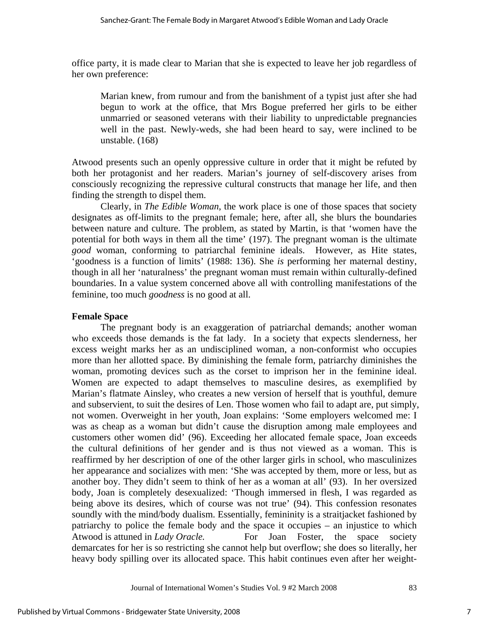office party, it is made clear to Marian that she is expected to leave her job regardless of her own preference:

Marian knew, from rumour and from the banishment of a typist just after she had begun to work at the office, that Mrs Bogue preferred her girls to be either unmarried or seasoned veterans with their liability to unpredictable pregnancies well in the past. Newly-weds, she had been heard to say, were inclined to be unstable. (168)

Atwood presents such an openly oppressive culture in order that it might be refuted by both her protagonist and her readers. Marian's journey of self-discovery arises from consciously recognizing the repressive cultural constructs that manage her life, and then finding the strength to dispel them.

Clearly, in *The Edible Woman*, the work place is one of those spaces that society designates as off-limits to the pregnant female; here, after all, she blurs the boundaries between nature and culture. The problem, as stated by Martin, is that 'women have the potential for both ways in them all the time' (197). The pregnant woman is the ultimate *good* woman, conforming to patriarchal feminine ideals. However, as Hite states, 'goodness is a function of limits' (1988: 136). She *is* performing her maternal destiny, though in all her 'naturalness' the pregnant woman must remain within culturally-defined boundaries. In a value system concerned above all with controlling manifestations of the feminine, too much *goodness* is no good at all.

## **Female Space**

The pregnant body is an exaggeration of patriarchal demands; another woman who exceeds those demands is the fat lady. In a society that expects slenderness, her excess weight marks her as an undisciplined woman, a non-conformist who occupies more than her allotted space. By diminishing the female form, patriarchy diminishes the woman, promoting devices such as the corset to imprison her in the feminine ideal. Women are expected to adapt themselves to masculine desires, as exemplified by Marian's flatmate Ainsley, who creates a new version of herself that is youthful, demure and subservient, to suit the desires of Len. Those women who fail to adapt are, put simply, not women. Overweight in her youth, Joan explains: 'Some employers welcomed me: I was as cheap as a woman but didn't cause the disruption among male employees and customers other women did' (96). Exceeding her allocated female space, Joan exceeds the cultural definitions of her gender and is thus not viewed as a woman. This is reaffirmed by her description of one of the other larger girls in school, who masculinizes her appearance and socializes with men: 'She was accepted by them, more or less, but as another boy. They didn't seem to think of her as a woman at all' (93). In her oversized body, Joan is completely desexualized: 'Though immersed in flesh, I was regarded as being above its desires, which of course was not true' (94). This confession resonates soundly with the mind/body dualism. Essentially, femininity is a straitjacket fashioned by patriarchy to police the female body and the space it occupies – an injustice to which Atwood is attuned in *Lady Oracle*. For Joan Foster, the space society demarcates for her is so restricting she cannot help but overflow; she does so literally, her heavy body spilling over its allocated space. This habit continues even after her weight-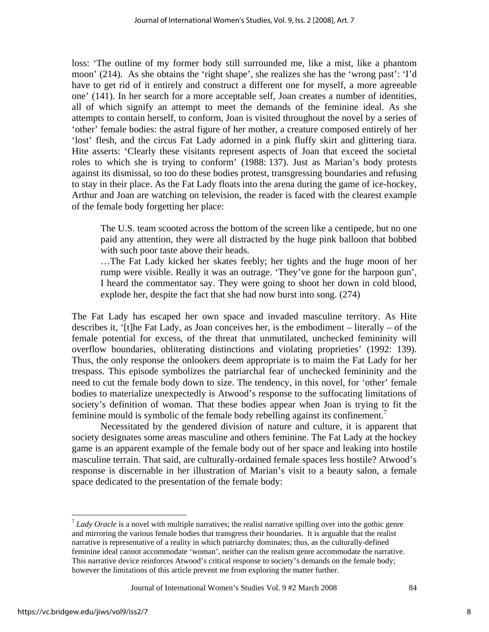loss: 'The outline of my former body still surrounded me, like a mist, like a phantom moon' (214). As she obtains the 'right shape', she realizes she has the 'wrong past': 'I'd have to get rid of it entirely and construct a different one for myself, a more agreeable one' (141). In her search for a more acceptable self, Joan creates a number of identities, all of which signify an attempt to meet the demands of the feminine ideal. As she attempts to contain herself, to conform, Joan is visited throughout the novel by a series of 'other' female bodies: the astral figure of her mother, a creature composed entirely of her 'lost' flesh, and the circus Fat Lady adorned in a pink fluffy skirt and glittering tiara. Hite asserts: 'Clearly these visitants represent aspects of Joan that exceed the societal roles to which she is trying to conform' (1988: 137). Just as Marian's body protests against its dismissal, so too do these bodies protest, transgressing boundaries and refusing to stay in their place. As the Fat Lady floats into the arena during the game of ice-hockey, Arthur and Joan are watching on television, the reader is faced with the clearest example of the female body forgetting her place:

The U.S. team scooted across the bottom of the screen like a centipede, but no one paid any attention, they were all distracted by the huge pink balloon that bobbed with such poor taste above their heads.

…The Fat Lady kicked her skates feebly; her tights and the huge moon of her rump were visible. Really it was an outrage. 'They've gone for the harpoon gun', I heard the commentator say. They were going to shoot her down in cold blood, explode her, despite the fact that she had now burst into song. (274)

The Fat Lady has escaped her own space and invaded masculine territory. As Hite describes it, '[t]he Fat Lady, as Joan conceives her, is the embodiment – literally – of the female potential for excess, of the threat that unmutilated, unchecked femininity will overflow boundaries, obliterating distinctions and violating proprieties' (1992: 139). Thus, the only response the onlookers deem appropriate is to maim the Fat Lady for her trespass. This episode symbolizes the patriarchal fear of unchecked femininity and the need to cut the female body down to size. The tendency, in this novel, for 'other' female bodies to materialize unexpectedly is Atwood's response to the suffocating limitations of society's definition of woman. That these bodies appear when Joan is trying to fit the feminine mould is symbolic of the female body rebelling against its confinement.<sup>7</sup>

Necessitated by the gendered division of nature and culture, it is apparent that society designates some areas masculine and others feminine. The Fat Lady at the hockey game is an apparent example of the female body out of her space and leaking into hostile masculine terrain. That said, are culturally-ordained female spaces less hostile? Atwood's response is discernable in her illustration of Marian's visit to a beauty salon, a female space dedicated to the presentation of the female body:

 $\overline{a}$ 

<sup>&</sup>lt;sup>7</sup> Lady Oracle is a novel with multiple narratives; the realist narrative spilling over into the gothic genre and mirroring the various female bodies that transgress their boundaries. It is arguable that the realist narrative is representative of a reality in which patriarchy dominates; thus, as the culturally-defined feminine ideal cannot accommodate 'woman', neither can the realism genre accommodate the narrative. This narrative device reinforces Atwood's critical response to society's demands on the female body; however the limitations of this article prevent me from exploring the matter further.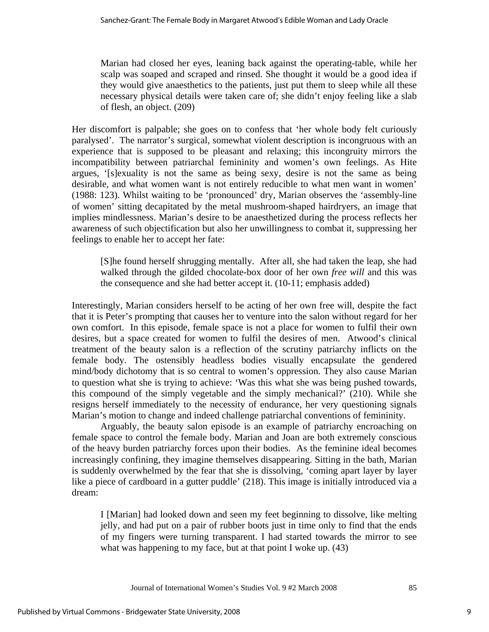Marian had closed her eyes, leaning back against the operating-table, while her scalp was soaped and scraped and rinsed. She thought it would be a good idea if they would give anaesthetics to the patients, just put them to sleep while all these necessary physical details were taken care of; she didn't enjoy feeling like a slab of flesh, an object. (209)

Her discomfort is palpable; she goes on to confess that 'her whole body felt curiously paralysed'. The narrator's surgical, somewhat violent description is incongruous with an experience that is supposed to be pleasant and relaxing; this incongruity mirrors the incompatibility between patriarchal femininity and women's own feelings. As Hite argues, '[s]exuality is not the same as being sexy, desire is not the same as being desirable, and what women want is not entirely reducible to what men want in women' (1988: 123). Whilst waiting to be 'pronounced' dry, Marian observes the 'assembly-line of women' sitting decapitated by the metal mushroom-shaped hairdryers, an image that implies mindlessness. Marian's desire to be anaesthetized during the process reflects her awareness of such objectification but also her unwillingness to combat it, suppressing her feelings to enable her to accept her fate:

[S]he found herself shrugging mentally. After all, she had taken the leap, she had walked through the gilded chocolate-box door of her own *free will* and this was the consequence and she had better accept it. (10-11; emphasis added)

Interestingly, Marian considers herself to be acting of her own free will, despite the fact that it is Peter's prompting that causes her to venture into the salon without regard for her own comfort. In this episode, female space is not a place for women to fulfil their own desires, but a space created for women to fulfil the desires of men. Atwood's clinical treatment of the beauty salon is a reflection of the scrutiny patriarchy inflicts on the female body. The ostensibly headless bodies visually encapsulate the gendered mind/body dichotomy that is so central to women's oppression. They also cause Marian to question what she is trying to achieve: 'Was this what she was being pushed towards, this compound of the simply vegetable and the simply mechanical?' (210). While she resigns herself immediately to the necessity of endurance, her very questioning signals Marian's motion to change and indeed challenge patriarchal conventions of femininity.

Arguably, the beauty salon episode is an example of patriarchy encroaching on female space to control the female body. Marian and Joan are both extremely conscious of the heavy burden patriarchy forces upon their bodies. As the feminine ideal becomes increasingly confining, they imagine themselves disappearing. Sitting in the bath, Marian is suddenly overwhelmed by the fear that she is dissolving, 'coming apart layer by layer like a piece of cardboard in a gutter puddle' (218). This image is initially introduced via a dream:

I [Marian] had looked down and seen my feet beginning to dissolve, like melting jelly, and had put on a pair of rubber boots just in time only to find that the ends of my fingers were turning transparent. I had started towards the mirror to see what was happening to my face, but at that point I woke up.  $(43)$ 

Journal of International Women's Studies Vol. 9 #2 March 2008 85

9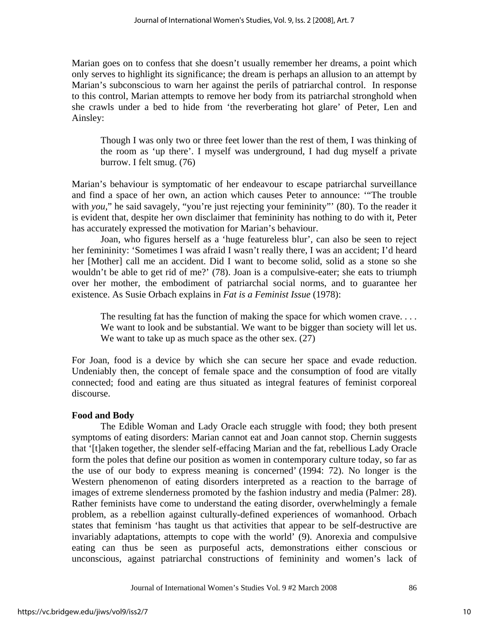Marian goes on to confess that she doesn't usually remember her dreams, a point which only serves to highlight its significance; the dream is perhaps an allusion to an attempt by Marian's subconscious to warn her against the perils of patriarchal control. In response to this control, Marian attempts to remove her body from its patriarchal stronghold when she crawls under a bed to hide from 'the reverberating hot glare' of Peter, Len and Ainsley:

Though I was only two or three feet lower than the rest of them, I was thinking of the room as 'up there'. I myself was underground, I had dug myself a private burrow. I felt smug. (76)

Marian's behaviour is symptomatic of her endeavour to escape patriarchal surveillance and find a space of her own, an action which causes Peter to announce: '"The trouble with *you*," he said savagely, "you're just rejecting your femininity" (80). To the reader it is evident that, despite her own disclaimer that femininity has nothing to do with it, Peter has accurately expressed the motivation for Marian's behaviour.

Joan, who figures herself as a 'huge featureless blur', can also be seen to reject her femininity: 'Sometimes I was afraid I wasn't really there, I was an accident; I'd heard her [Mother] call me an accident. Did I want to become solid, solid as a stone so she wouldn't be able to get rid of me?' (78). Joan is a compulsive-eater; she eats to triumph over her mother, the embodiment of patriarchal social norms, and to guarantee her existence. As Susie Orbach explains in *Fat is a Feminist Issue* (1978):

The resulting fat has the function of making the space for which women crave... We want to look and be substantial. We want to be bigger than society will let us. We want to take up as much space as the other sex.  $(27)$ 

For Joan, food is a device by which she can secure her space and evade reduction. Undeniably then, the concept of female space and the consumption of food are vitally connected; food and eating are thus situated as integral features of feminist corporeal discourse.

## **Food and Body**

The Edible Woman and Lady Oracle each struggle with food; they both present symptoms of eating disorders: Marian cannot eat and Joan cannot stop. Chernin suggests that '[t]aken together, the slender self-effacing Marian and the fat, rebellious Lady Oracle form the poles that define our position as women in contemporary culture today, so far as the use of our body to express meaning is concerned' (1994: 72). No longer is the Western phenomenon of eating disorders interpreted as a reaction to the barrage of images of extreme slenderness promoted by the fashion industry and media (Palmer: 28). Rather feminists have come to understand the eating disorder, overwhelmingly a female problem, as a rebellion against culturally-defined experiences of womanhood. Orbach states that feminism 'has taught us that activities that appear to be self-destructive are invariably adaptations, attempts to cope with the world' (9). Anorexia and compulsive eating can thus be seen as purposeful acts, demonstrations either conscious or unconscious, against patriarchal constructions of femininity and women's lack of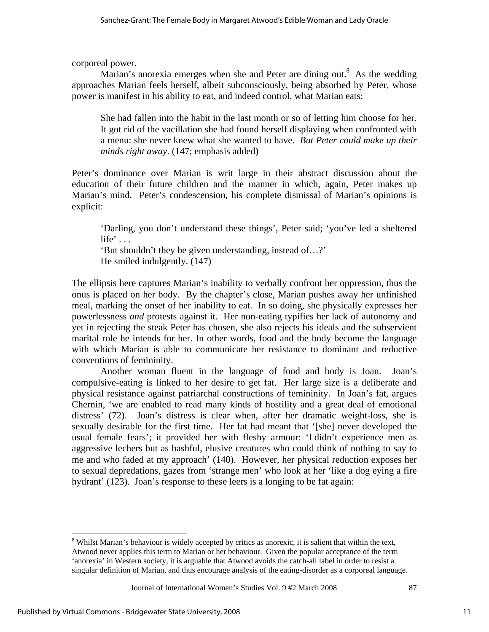corporeal power.

Marian's anorexia emerges when she and Peter are dining out. $8$  As the wedding approaches Marian feels herself, albeit subconsciously, being absorbed by Peter, whose power is manifest in his ability to eat, and indeed control, what Marian eats:

She had fallen into the habit in the last month or so of letting him choose for her. It got rid of the vacillation she had found herself displaying when confronted with a menu: she never knew what she wanted to have. *But Peter could make up their minds right away*. (147; emphasis added)

Peter's dominance over Marian is writ large in their abstract discussion about the education of their future children and the manner in which, again, Peter makes up Marian's mind. Peter's condescension, his complete dismissal of Marian's opinions is explicit:

'Darling, you don't understand these things', Peter said; 'you've led a sheltered life'  $\ldots$ 

'But shouldn't they be given understanding, instead of…?' He smiled indulgently. (147)

The ellipsis here captures Marian's inability to verbally confront her oppression, thus the onus is placed on her body. By the chapter's close, Marian pushes away her unfinished meal, marking the onset of her inability to eat. In so doing, she physically expresses her powerlessness *and* protests against it. Her non-eating typifies her lack of autonomy and yet in rejecting the steak Peter has chosen, she also rejects his ideals and the subservient marital role he intends for her. In other words, food and the body become the language with which Marian is able to communicate her resistance to dominant and reductive conventions of femininity.

Another woman fluent in the language of food and body is Joan. Joan's compulsive-eating is linked to her desire to get fat. Her large size is a deliberate and physical resistance against patriarchal constructions of femininity. In Joan's fat, argues Chernin, 'we are enabled to read many kinds of hostility and a great deal of emotional distress' (72). Joan's distress is clear when, after her dramatic weight-loss, she is sexually desirable for the first time. Her fat had meant that '[she] never developed the usual female fears'; it provided her with fleshy armour: 'I didn't experience men as aggressive lechers but as bashful, elusive creatures who could think of nothing to say to me and who faded at my approach' (140). However, her physical reduction exposes her to sexual depredations, gazes from 'strange men' who look at her 'like a dog eying a fire hydrant' (123). Joan's response to these leers is a longing to be fat again:

 $\overline{a}$ 

<sup>&</sup>lt;sup>8</sup> Whilst Marian's behaviour is widely accepted by critics as anorexic, it is salient that within the text, Atwood never applies this term to Marian or her behaviour. Given the popular acceptance of the term 'anorexia' in Western society, it is arguable that Atwood avoids the catch-all label in order to resist a singular definition of Marian, and thus encourage analysis of the eating-disorder as a corporeal language.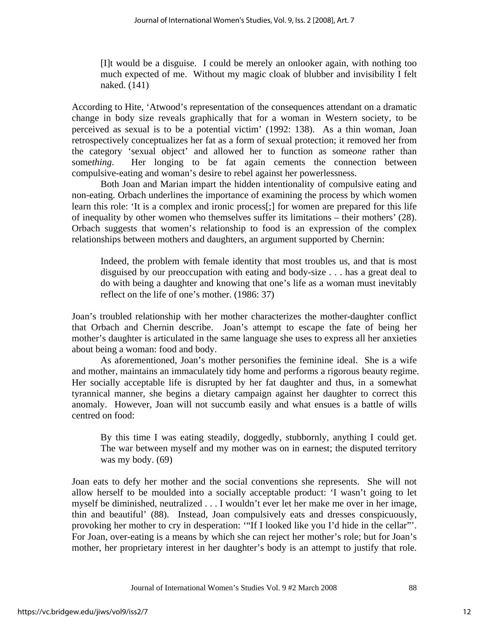[I]t would be a disguise. I could be merely an onlooker again, with nothing too much expected of me. Without my magic cloak of blubber and invisibility I felt naked. (141)

According to Hite, 'Atwood's representation of the consequences attendant on a dramatic change in body size reveals graphically that for a woman in Western society, to be perceived as sexual is to be a potential victim' (1992: 138). As a thin woman, Joan retrospectively conceptualizes her fat as a form of sexual protection; it removed her from the category 'sexual object' and allowed her to function as some*one* rather than some*thing*. Her longing to be fat again cements the connection between compulsive-eating and woman's desire to rebel against her powerlessness.

Both Joan and Marian impart the hidden intentionality of compulsive eating and non-eating. Orbach underlines the importance of examining the process by which women learn this role: 'It is a complex and ironic process[;] for women are prepared for this life of inequality by other women who themselves suffer its limitations – their mothers' (28). Orbach suggests that women's relationship to food is an expression of the complex relationships between mothers and daughters, an argument supported by Chernin:

Indeed, the problem with female identity that most troubles us, and that is most disguised by our preoccupation with eating and body-size . . . has a great deal to do with being a daughter and knowing that one's life as a woman must inevitably reflect on the life of one's mother. (1986: 37)

Joan's troubled relationship with her mother characterizes the mother-daughter conflict that Orbach and Chernin describe. Joan's attempt to escape the fate of being her mother's daughter is articulated in the same language she uses to express all her anxieties about being a woman: food and body.

As aforementioned, Joan's mother personifies the feminine ideal. She is a wife and mother, maintains an immaculately tidy home and performs a rigorous beauty regime. Her socially acceptable life is disrupted by her fat daughter and thus, in a somewhat tyrannical manner, she begins a dietary campaign against her daughter to correct this anomaly. However, Joan will not succumb easily and what ensues is a battle of wills centred on food:

By this time I was eating steadily, doggedly, stubbornly, anything I could get. The war between myself and my mother was on in earnest; the disputed territory was my body. (69)

Joan eats to defy her mother and the social conventions she represents. She will not allow herself to be moulded into a socially acceptable product: 'I wasn't going to let myself be diminished, neutralized . . . I wouldn't ever let her make me over in her image, thin and beautiful' (88). Instead, Joan compulsively eats and dresses conspicuously, provoking her mother to cry in desperation: '"If I looked like you I'd hide in the cellar"'. For Joan, over-eating is a means by which she can reject her mother's role; but for Joan's mother, her proprietary interest in her daughter's body is an attempt to justify that role.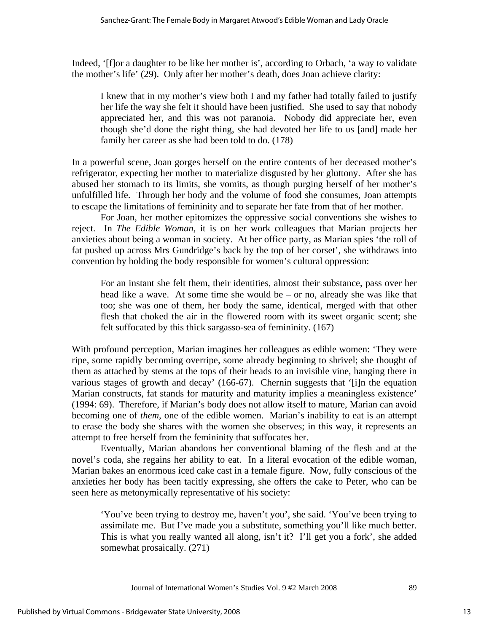Indeed, '[f]or a daughter to be like her mother is', according to Orbach, 'a way to validate the mother's life' (29). Only after her mother's death, does Joan achieve clarity:

I knew that in my mother's view both I and my father had totally failed to justify her life the way she felt it should have been justified. She used to say that nobody appreciated her, and this was not paranoia. Nobody did appreciate her, even though she'd done the right thing, she had devoted her life to us [and] made her family her career as she had been told to do. (178)

In a powerful scene, Joan gorges herself on the entire contents of her deceased mother's refrigerator, expecting her mother to materialize disgusted by her gluttony. After she has abused her stomach to its limits, she vomits, as though purging herself of her mother's unfulfilled life. Through her body and the volume of food she consumes, Joan attempts to escape the limitations of femininity and to separate her fate from that of her mother.

For Joan, her mother epitomizes the oppressive social conventions she wishes to reject. In *The Edible Woman*, it is on her work colleagues that Marian projects her anxieties about being a woman in society. At her office party, as Marian spies 'the roll of fat pushed up across Mrs Gundridge's back by the top of her corset', she withdraws into convention by holding the body responsible for women's cultural oppression:

For an instant she felt them, their identities, almost their substance, pass over her head like a wave. At some time she would be – or no, already she was like that too; she was one of them, her body the same, identical, merged with that other flesh that choked the air in the flowered room with its sweet organic scent; she felt suffocated by this thick sargasso-sea of femininity. (167)

With profound perception, Marian imagines her colleagues as edible women: 'They were ripe, some rapidly becoming overripe, some already beginning to shrivel; she thought of them as attached by stems at the tops of their heads to an invisible vine, hanging there in various stages of growth and decay' (166-67). Chernin suggests that '[i]n the equation Marian constructs, fat stands for maturity and maturity implies a meaningless existence' (1994: 69). Therefore, if Marian's body does not allow itself to mature, Marian can avoid becoming one of *them*, one of the edible women. Marian's inability to eat is an attempt to erase the body she shares with the women she observes; in this way, it represents an attempt to free herself from the femininity that suffocates her.

Eventually, Marian abandons her conventional blaming of the flesh and at the novel's coda, she regains her ability to eat. In a literal evocation of the edible woman, Marian bakes an enormous iced cake cast in a female figure. Now, fully conscious of the anxieties her body has been tacitly expressing, she offers the cake to Peter, who can be seen here as metonymically representative of his society:

'You've been trying to destroy me, haven't you', she said. 'You've been trying to assimilate me. But I've made you a substitute, something you'll like much better. This is what you really wanted all along, isn't it? I'll get you a fork', she added somewhat prosaically. (271)

Journal of International Women's Studies Vol. 9 #2 March 2008 89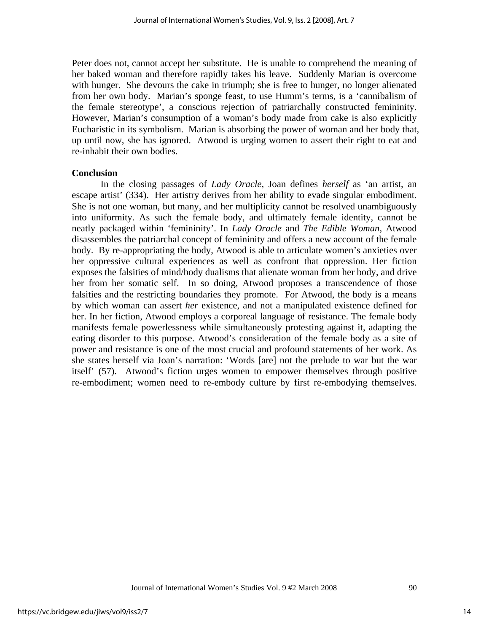Peter does not, cannot accept her substitute. He is unable to comprehend the meaning of her baked woman and therefore rapidly takes his leave. Suddenly Marian is overcome with hunger. She devours the cake in triumph; she is free to hunger, no longer alienated from her own body. Marian's sponge feast, to use Humm's terms, is a 'cannibalism of the female stereotype', a conscious rejection of patriarchally constructed femininity. However, Marian's consumption of a woman's body made from cake is also explicitly Eucharistic in its symbolism. Marian is absorbing the power of woman and her body that, up until now, she has ignored. Atwood is urging women to assert their right to eat and re-inhabit their own bodies.

## **Conclusion**

In the closing passages of *Lady Oracle*, Joan defines *herself* as 'an artist, an escape artist' (334). Her artistry derives from her ability to evade singular embodiment. She is not one woman, but many, and her multiplicity cannot be resolved unambiguously into uniformity. As such the female body, and ultimately female identity, cannot be neatly packaged within 'femininity'. In *Lady Oracle* and *The Edible Woman*, Atwood disassembles the patriarchal concept of femininity and offers a new account of the female body. By re-appropriating the body, Atwood is able to articulate women's anxieties over her oppressive cultural experiences as well as confront that oppression. Her fiction exposes the falsities of mind/body dualisms that alienate woman from her body, and drive her from her somatic self. In so doing, Atwood proposes a transcendence of those falsities and the restricting boundaries they promote. For Atwood, the body is a means by which woman can assert *her* existence, and not a manipulated existence defined for her. In her fiction, Atwood employs a corporeal language of resistance. The female body manifests female powerlessness while simultaneously protesting against it, adapting the eating disorder to this purpose. Atwood's consideration of the female body as a site of power and resistance is one of the most crucial and profound statements of her work. As she states herself via Joan's narration: 'Words [are] not the prelude to war but the war itself' (57). Atwood's fiction urges women to empower themselves through positive re-embodiment; women need to re-embody culture by first re-embodying themselves.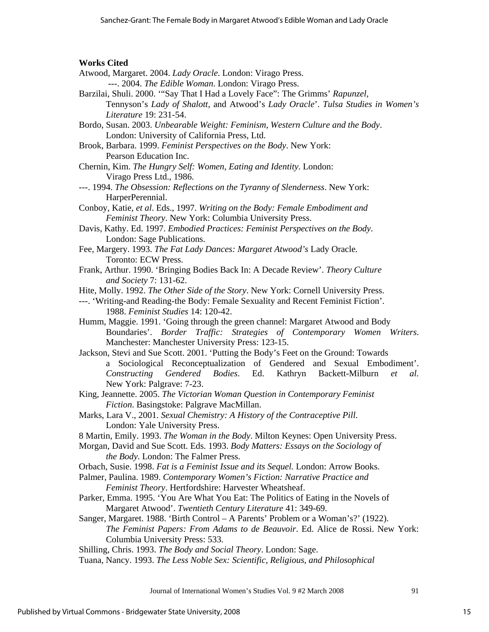#### **Works Cited**

- Atwood, Margaret. 2004. *Lady Oracle*. London: Virago Press. ---. 2004. *The Edible Woman*. London: Virago Press.
- Barzilai, Shuli. 2000. '"Say That I Had a Lovely Face": The Grimms' *Rapunzel,* Tennyson's *Lady of Shalott*, and Atwood's *Lady Oracle*'. *Tulsa Studies in Women's Literature* 19: 231-54.
- Bordo, Susan. 2003. *Unbearable Weight: Feminism, Western Culture and the Body*. London: University of California Press, Ltd.
- Brook, Barbara. 1999. *Feminist Perspectives on the Body*. New York: Pearson Education Inc.
- Chernin, Kim. *The Hungry Self: Women, Eating and Identity*. London: Virago Press Ltd., 1986.
- ---. 1994. *The Obsession: Reflections on the Tyranny of Slenderness*. New York: HarperPerennial.
- Conboy, Katie, *et al*. Eds., 1997. *Writing on the Body: Female Embodiment and Feminist Theory*. New York: Columbia University Press.
- Davis, Kathy. Ed. 1997. *Embodied Practices: Feminist Perspectives on the Body*. London: Sage Publications.
- Fee, Margery. 1993. *The Fat Lady Dances: Margaret Atwood's* Lady Oracle*.*  Toronto: ECW Press.
- Frank, Arthur. 1990. 'Bringing Bodies Back In: A Decade Review'. *Theory Culture and Society* 7: 131-62.
- Hite, Molly. 1992. *The Other Side of the Story*. New York: Cornell University Press.
- ---. 'Writing-and Reading-the Body: Female Sexuality and Recent Feminist Fiction'. 1988. *Feminist Studies* 14: 120-42.
- Humm, Maggie. 1991. 'Going through the green channel: Margaret Atwood and Body Boundaries'. *Border Traffic: Strategies of Contemporary Women Writers*. Manchester: Manchester University Press: 123-15.
- Jackson, Stevi and Sue Scott. 2001. 'Putting the Body's Feet on the Ground: Towards a Sociological Reconceptualization of Gendered and Sexual Embodiment'. *Constructing Gendered Bodies*. Ed. Kathryn Backett-Milburn *et al.*  New York: Palgrave: 7-23.
- King, Jeannette. 2005. *The Victorian Woman Question in Contemporary Feminist Fiction*. Basingstoke: Palgrave MacMillan.
- Marks, Lara V., 2001. *Sexual Chemistry: A History of the Contraceptive Pill*. London: Yale University Press.
- 8 Martin, Emily. 1993. *The Woman in the Body*. Milton Keynes: Open University Press.
- Morgan, David and Sue Scott. Eds. 1993. *Body Matters: Essays on the Sociology of the Body*. London: The Falmer Press.
- Orbach, Susie. 1998. *Fat is a Feminist Issue and its Sequel.* London: Arrow Books.
- Palmer, Paulina. 1989. *Contemporary Women's Fiction: Narrative Practice and Feminist Theory*. Hertfordshire: Harvester Wheatsheaf.
- Parker, Emma. 1995. 'You Are What You Eat: The Politics of Eating in the Novels of Margaret Atwood'. *Twentieth Century Literature* 41: 349-69.
- Sanger, Margaret. 1988. 'Birth Control A Parents' Problem or a Woman's?' (1922). *The Feminist Papers: From Adams to de Beauvoir*. Ed. Alice de Rossi. New York: Columbia University Press: 533.
- Shilling, Chris. 1993. *The Body and Social Theory*. London: Sage.
- Tuana, Nancy. 1993. *The Less Noble Sex: Scientific, Religious, and Philosophical*